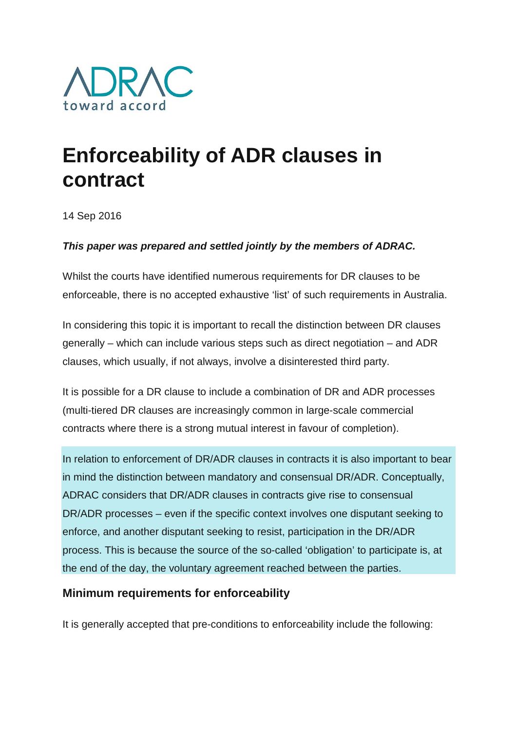

# **Enforceability of ADR clauses in contract**

14 Sep 2016

## *This paper was prepared and settled jointly by the members of ADRAC.*

Whilst the courts have identified numerous requirements for DR clauses to be enforceable, there is no accepted exhaustive 'list' of such requirements in Australia.

In considering this topic it is important to recall the distinction between DR clauses generally – which can include various steps such as direct negotiation – and ADR clauses, which usually, if not always, involve a disinterested third party.

It is possible for a DR clause to include a combination of DR and ADR processes (multi-tiered DR clauses are increasingly common in large-scale commercial contracts where there is a strong mutual interest in favour of completion).

In relation to enforcement of DR/ADR clauses in contracts it is also important to bear in mind the distinction between mandatory and consensual DR/ADR. Conceptually, ADRAC considers that DR/ADR clauses in contracts give rise to consensual DR/ADR processes – even if the specific context involves one disputant seeking to enforce, and another disputant seeking to resist, participation in the DR/ADR process. This is because the source of the so-called 'obligation' to participate is, at the end of the day, the voluntary agreement reached between the parties.

## **Minimum requirements for enforceability**

It is generally accepted that pre-conditions to enforceability include the following: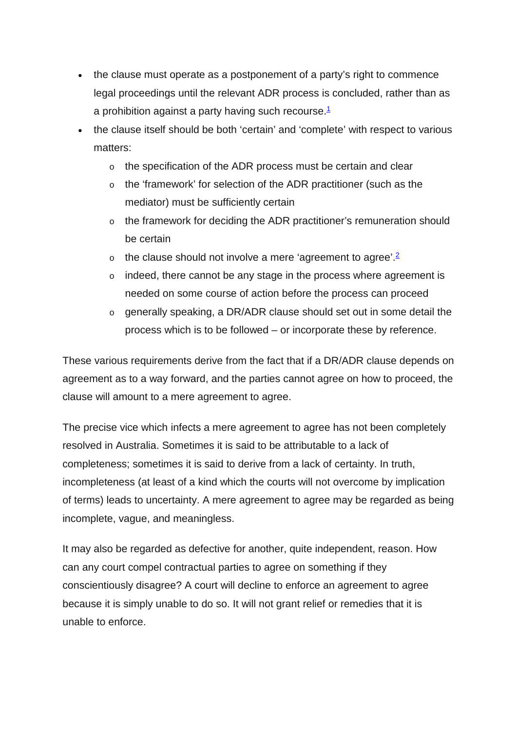- the clause must operate as a postponement of a party's right to commence legal proceedings until the relevant ADR process is concluded, rather than as a prohibition against a party having such recourse. $1$
- the clause itself should be both 'certain' and 'complete' with respect to various matters:
	- o the specification of the ADR process must be certain and clear
	- o the 'framework' for selection of the ADR practitioner (such as the mediator) must be sufficiently certain
	- the framework for deciding the ADR practitioner's remuneration should be certain
	- $\circ$  the clause should not involve a mere 'agreement to agree'.<sup>2</sup>
	- o indeed, there cannot be any stage in the process where agreement is needed on some course of action before the process can proceed
	- o generally speaking, a DR/ADR clause should set out in some detail the process which is to be followed – or incorporate these by reference.

These various requirements derive from the fact that if a DR/ADR clause depends on agreement as to a way forward, and the parties cannot agree on how to proceed, the clause will amount to a mere agreement to agree.

The precise vice which infects a mere agreement to agree has not been completely resolved in Australia. Sometimes it is said to be attributable to a lack of completeness; sometimes it is said to derive from a lack of certainty. In truth, incompleteness (at least of a kind which the courts will not overcome by implication of terms) leads to uncertainty. A mere agreement to agree may be regarded as being incomplete, vague, and meaningless.

It may also be regarded as defective for another, quite independent, reason. How can any court compel contractual parties to agree on something if they conscientiously disagree? A court will decline to enforce an agreement to agree because it is simply unable to do so. It will not grant relief or remedies that it is unable to enforce.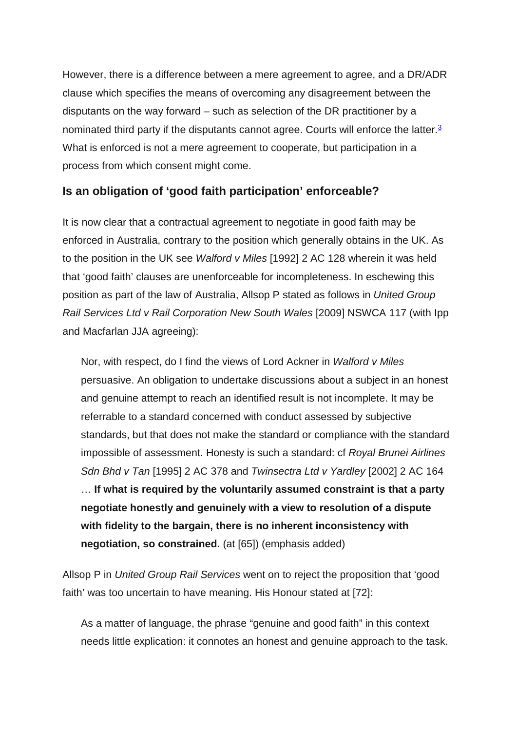However, there is a difference between a mere agreement to agree, and a DR/ADR clause which specifies the means of overcoming any disagreement between the disputants on the way forward – such as selection of the DR practitioner by a nominated third party if the disputants cannot agree. Courts will enforce the latter.<sup>3</sup> What is enforced is not a mere agreement to cooperate, but participation in a process from which consent might come.

## **Is an obligation of 'good faith participation' enforceable?**

It is now clear that a contractual agreement to negotiate in good faith may be enforced in Australia, contrary to the position which generally obtains in the UK. As to the position in the UK see *Walford v Miles* [1992] 2 AC 128 wherein it was held that 'good faith' clauses are unenforceable for incompleteness. In eschewing this position as part of the law of Australia, Allsop P stated as follows in *United Group Rail Services Ltd v Rail Corporation New South Wales* [2009] NSWCA 117 (with Ipp and Macfarlan JJA agreeing):

Nor, with respect, do I find the views of Lord Ackner in *Walford v Miles* persuasive. An obligation to undertake discussions about a subject in an honest and genuine attempt to reach an identified result is not incomplete. It may be referrable to a standard concerned with conduct assessed by subjective standards, but that does not make the standard or compliance with the standard impossible of assessment. Honesty is such a standard: cf *Royal Brunei Airlines Sdn Bhd v Tan* [1995] 2 AC 378 and *Twinsectra Ltd v Yardley* [2002] 2 AC 164 … **If what is required by the voluntarily assumed constraint is that a party negotiate honestly and genuinely with a view to resolution of a dispute with fidelity to the bargain, there is no inherent inconsistency with negotiation, so constrained.** (at [65]) (emphasis added)

Allsop P in *United Group Rail Services* went on to reject the proposition that 'good faith' was too uncertain to have meaning. His Honour stated at [72]:

As a matter of language, the phrase "genuine and good faith" in this context needs little explication: it connotes an honest and genuine approach to the task.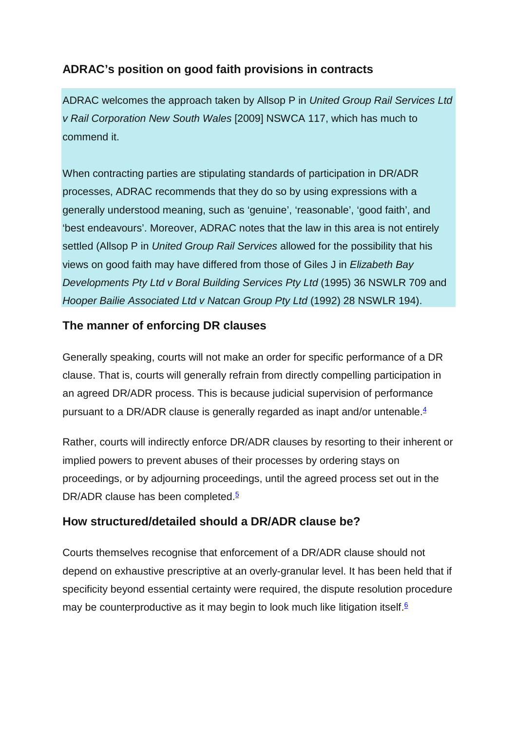# **ADRAC's position on good faith provisions in contracts**

ADRAC welcomes the approach taken by Allsop P in *United Group Rail Services Ltd v Rail Corporation New South Wales* [2009] NSWCA 117, which has much to commend it.

When contracting parties are stipulating standards of participation in DR/ADR processes, ADRAC recommends that they do so by using expressions with a generally understood meaning, such as 'genuine', 'reasonable', 'good faith', and 'best endeavours'. Moreover, ADRAC notes that the law in this area is not entirely settled (Allsop P in *United Group Rail Services* allowed for the possibility that his views on good faith may have differed from those of Giles J in *Elizabeth Bay Developments Pty Ltd v Boral Building Services Pty Ltd* (1995) 36 NSWLR 709 and *Hooper Bailie Associated Ltd v Natcan Group Pty Ltd* (1992) 28 NSWLR 194).

# **The manner of enforcing DR clauses**

Generally speaking, courts will not make an order for specific performance of a DR clause. That is, courts will generally refrain from directly compelling participation in an agreed DR/ADR process. This is because judicial supervision of performance pursuant to a DR/ADR clause is generally regarded as inapt and/or untenable. $4$ 

Rather, courts will indirectly enforce DR/ADR clauses by resorting to their inherent or implied powers to prevent abuses of their processes by ordering stays on proceedings, or by adjourning proceedings, until the agreed process set out in the DR/ADR clause has been completed.<sup>5</sup>

# **How structured/detailed should a DR/ADR clause be?**

Courts themselves recognise that enforcement of a DR/ADR clause should not depend on exhaustive prescriptive at an overly-granular level. It has been held that if specificity beyond essential certainty were required, the dispute resolution procedure may be counterproductive as it may begin to look much like litigation itself. $6$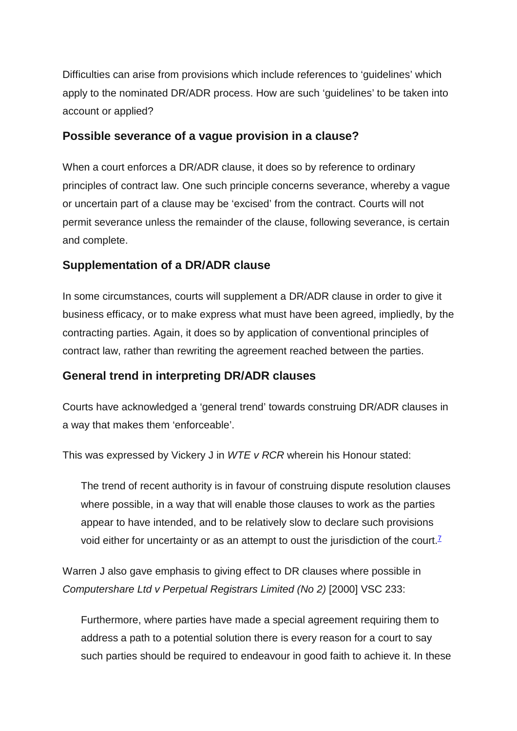Difficulties can arise from provisions which include references to 'guidelines' which apply to the nominated DR/ADR process. How are such 'guidelines' to be taken into account or applied?

### **Possible severance of a vague provision in a clause?**

When a court enforces a DR/ADR clause, it does so by reference to ordinary principles of contract law. One such principle concerns severance, whereby a vague or uncertain part of a clause may be 'excised' from the contract. Courts will not permit severance unless the remainder of the clause, following severance, is certain and complete.

## **Supplementation of a DR/ADR clause**

In some circumstances, courts will supplement a DR/ADR clause in order to give it business efficacy, or to make express what must have been agreed, impliedly, by the contracting parties. Again, it does so by application of conventional principles of contract law, rather than rewriting the agreement reached between the parties.

### **General trend in interpreting DR/ADR clauses**

Courts have acknowledged a 'general trend' towards construing DR/ADR clauses in a way that makes them 'enforceable'.

This was expressed by Vickery J in *WTE v RCR* wherein his Honour stated:

The trend of recent authority is in favour of construing dispute resolution clauses where possible, in a way that will enable those clauses to work as the parties appear to have intended, and to be relatively slow to declare such provisions void either for uncertainty or as an attempt to oust the jurisdiction of the court.<sup> $7$ </sup>

Warren J also gave emphasis to giving effect to DR clauses where possible in *Computershare Ltd v Perpetual Registrars Limited (No 2)* [2000] VSC 233:

Furthermore, where parties have made a special agreement requiring them to address a path to a potential solution there is every reason for a court to say such parties should be required to endeavour in good faith to achieve it. In these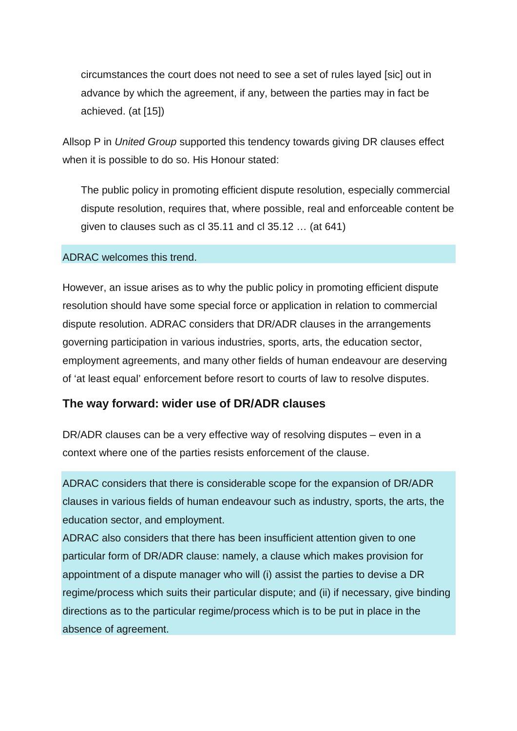circumstances the court does not need to see a set of rules layed [sic] out in advance by which the agreement, if any, between the parties may in fact be achieved. (at [15])

Allsop P in *United Group* supported this tendency towards giving DR clauses effect when it is possible to do so. His Honour stated:

The public policy in promoting efficient dispute resolution, especially commercial dispute resolution, requires that, where possible, real and enforceable content be given to clauses such as cl 35.11 and cl 35.12 … (at 641)

#### ADRAC welcomes this trend.

However, an issue arises as to why the public policy in promoting efficient dispute resolution should have some special force or application in relation to commercial dispute resolution. ADRAC considers that DR/ADR clauses in the arrangements governing participation in various industries, sports, arts, the education sector, employment agreements, and many other fields of human endeavour are deserving of 'at least equal' enforcement before resort to courts of law to resolve disputes.

#### **The way forward: wider use of DR/ADR clauses**

DR/ADR clauses can be a very effective way of resolving disputes – even in a context where one of the parties resists enforcement of the clause.

ADRAC considers that there is considerable scope for the expansion of DR/ADR clauses in various fields of human endeavour such as industry, sports, the arts, the education sector, and employment.

ADRAC also considers that there has been insufficient attention given to one particular form of DR/ADR clause: namely, a clause which makes provision for appointment of a dispute manager who will (i) assist the parties to devise a DR regime/process which suits their particular dispute; and (ii) if necessary, give binding directions as to the particular regime/process which is to be put in place in the absence of agreement.